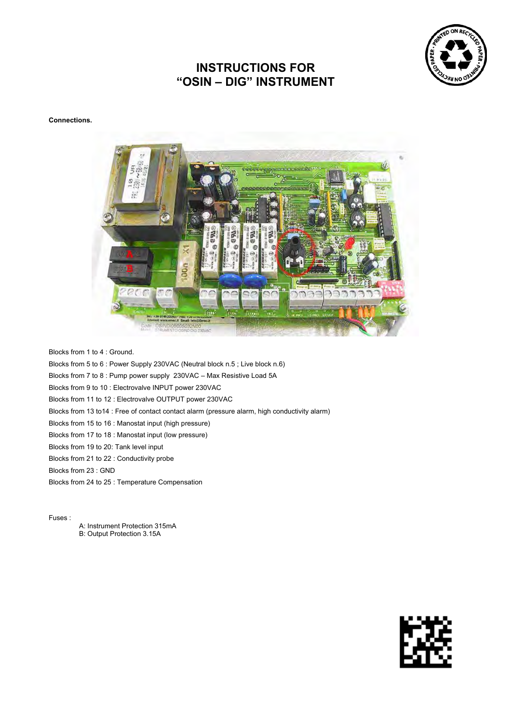

# **INSTRUCTIONS FOR "OSIN – DIG" INSTRUMENT**

**Connections.** 



Blocks from 1 to 4 : Ground.

Blocks from 5 to 6 : Power Supply 230VAC (Neutral block n.5 ; Live block n.6)

Blocks from 7 to 8 : Pump power supply 230VAC – Max Resistive Load 5A

Blocks from 9 to 10 : Electrovalve INPUT power 230VAC

Blocks from 11 to 12 : Electrovalve OUTPUT power 230VAC

Blocks from 13 to14 : Free of contact contact alarm (pressure alarm, high conductivity alarm)

Blocks from 15 to 16 : Manostat input (high pressure)

Blocks from 17 to 18 : Manostat input (low pressure)

Blocks from 19 to 20: Tank level input

Blocks from 21 to 22 : Conductivity probe

Blocks from 23 : GND

Blocks from 24 to 25 : Temperature Compensation

Fuses :

A: Instrument Protection 315mA B: Output Protection 3.15A

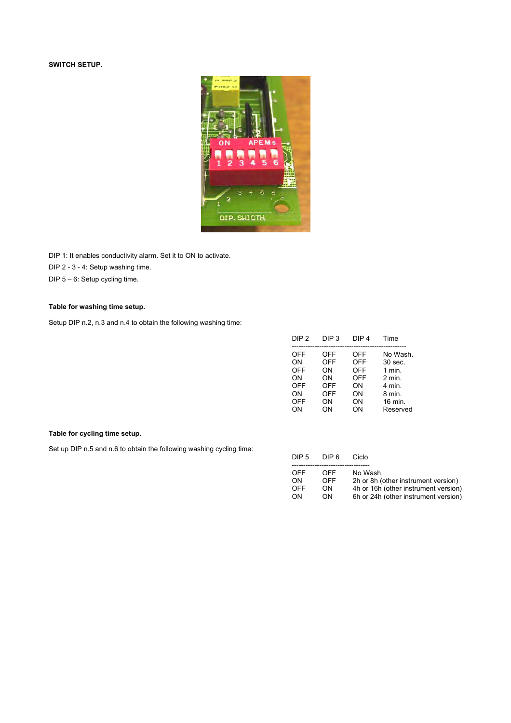# **SWITCH SETUP.**



DIP 1: It enables conductivity alarm. Set it to ON to activate.

DIP 2 - 3 - 4: Setup washing time.

DIP 5 – 6: Setup cycling time.

# **Table for washing time setup.**

Setup DIP n.2, n.3 and n.4 to obtain the following washing time:

| DIP <sub>2</sub>                                                                    | DIP <sub>3</sub>                                                             | DIP <sub>4</sub>                                                             | Time                                                                               |
|-------------------------------------------------------------------------------------|------------------------------------------------------------------------------|------------------------------------------------------------------------------|------------------------------------------------------------------------------------|
| <b>OFF</b><br><b>ON</b><br><b>OFF</b><br>ΟN<br><b>OFF</b><br>ON<br><b>OFF</b><br>ΟN | <b>OFF</b><br><b>OFF</b><br>ON<br>ΟN<br><b>OFF</b><br><b>OFF</b><br>ON<br>ΟN | <b>OFF</b><br><b>OFF</b><br><b>OFF</b><br><b>OFF</b><br>ON<br>ON<br>ON<br>ΟN | No Wash.<br>30 sec.<br>1 min.<br>2 min.<br>4 min.<br>8 min.<br>16 min.<br>Reserved |
|                                                                                     |                                                                              |                                                                              |                                                                                    |

# **Table for cycling time setup.**

Set up DIP n.5 and n.6 to obtain the following washing cycling time:

| DIP <sub>5</sub> | DIP 6 | Ciclo                                |  |
|------------------|-------|--------------------------------------|--|
|                  |       |                                      |  |
| OFF              | OFF   | No Wash.                             |  |
| ON               | OFF   | 2h or 8h (other instrument version)  |  |
| OFF              | ΟN    | 4h or 16h (other instrument version) |  |
| ON               | ON.   | 6h or 24h (other instrument version) |  |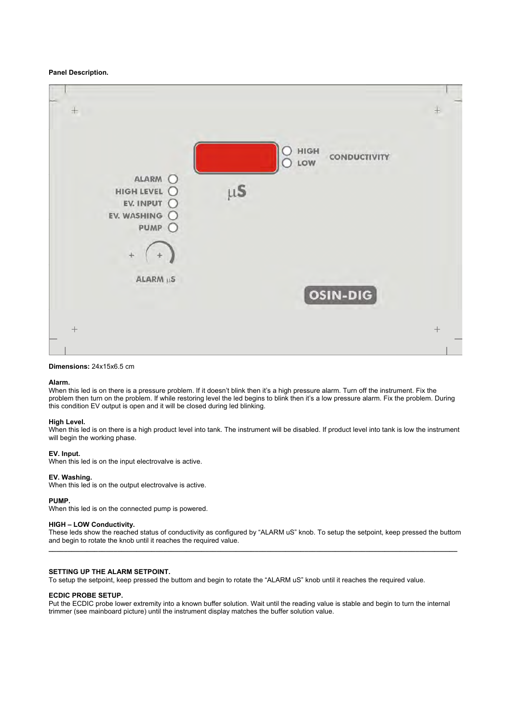### **Panel Description.**



# **Dimensions:** 24x15x6.5 cm

#### **Alarm.**

When this led is on there is a pressure problem. If it doesn't blink then it's a high pressure alarm. Turn off the instrument. Fix the problem then turn on the problem. If while restoring level the led begins to blink then it's a low pressure alarm. Fix the problem. During this condition EV output is open and it will be closed during led blinking.

#### **High Level.**

When this led is on there is a high product level into tank. The instrument will be disabled. If product level into tank is low the instrument will begin the working phase.

#### **EV. Input.**

When this led is on the input electrovalve is active.

#### **EV. Washing.**

When this led is on the output electrovalve is active.

# **PUMP.**

When this led is on the connected pump is powered.

#### **HIGH – LOW Conductivity.**

These leds show the reached status of conductivity as configured by "ALARM uS" knob. To setup the setpoint, keep pressed the buttom and begin to rotate the knob until it reaches the required value. **\_\_\_\_\_\_\_\_\_\_\_\_\_\_\_\_\_\_\_\_\_\_\_\_\_\_\_\_\_\_\_\_\_\_\_\_\_\_\_\_\_\_\_\_\_\_\_\_\_\_\_\_\_\_\_\_\_\_\_\_\_\_\_\_\_\_\_\_\_\_\_\_\_\_\_\_\_\_\_\_\_\_\_\_\_\_\_\_\_\_\_\_\_\_\_\_\_\_\_\_\_\_\_\_\_\_\_** 

### **SETTING UP THE ALARM SETPOINT.**

To setup the setpoint, keep pressed the buttom and begin to rotate the "ALARM uS" knob until it reaches the required value.

### **ECDIC PROBE SETUP.**

Put the ECDIC probe lower extremity into a known buffer solution. Wait until the reading value is stable and begin to turn the internal trimmer (see mainboard picture) until the instrument display matches the buffer solution value.